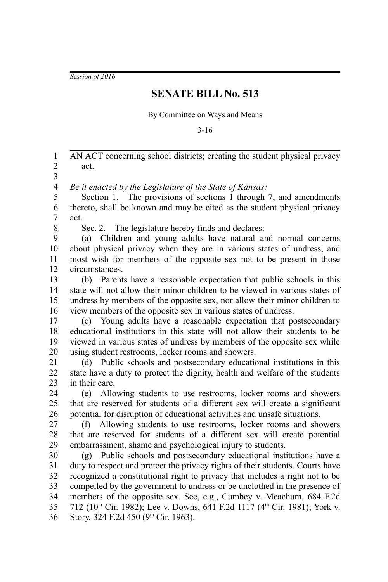*Session of 2016*

## **SENATE BILL No. 513**

By Committee on Ways and Means

3-16

AN ACT concerning school districts; creating the student physical privacy act. 1 2

3

*Be it enacted by the Legislature of the State of Kansas:* 4

Section 1. The provisions of sections 1 through 7, and amendments thereto, shall be known and may be cited as the student physical privacy act. 5 6 7

8

Sec. 2. The legislature hereby finds and declares:

(a) Children and young adults have natural and normal concerns about physical privacy when they are in various states of undress, and most wish for members of the opposite sex not to be present in those circumstances. 9 10 11 12

(b) Parents have a reasonable expectation that public schools in this state will not allow their minor children to be viewed in various states of undress by members of the opposite sex, nor allow their minor children to view members of the opposite sex in various states of undress. 13 14 15 16

(c) Young adults have a reasonable expectation that postsecondary educational institutions in this state will not allow their students to be viewed in various states of undress by members of the opposite sex while using student restrooms, locker rooms and showers. 17 18 19 20

(d) Public schools and postsecondary educational institutions in this state have a duty to protect the dignity, health and welfare of the students in their care. 21 22 23

(e) Allowing students to use restrooms, locker rooms and showers that are reserved for students of a different sex will create a significant potential for disruption of educational activities and unsafe situations. 24 25 26

(f) Allowing students to use restrooms, locker rooms and showers that are reserved for students of a different sex will create potential embarrassment, shame and psychological injury to students. 27 28 29

(g) Public schools and postsecondary educational institutions have a duty to respect and protect the privacy rights of their students. Courts have recognized a constitutional right to privacy that includes a right not to be compelled by the government to undress or be unclothed in the presence of members of the opposite sex. See, e.g., Cumbey v. Meachum, 684 F.2d 712 (10th Cir. 1982); Lee v. Downs, 641 F.2d 1117 (4th Cir. 1981); York v. Story, 324 F.2d 450 ( $9<sup>th</sup>$  Cir. 1963). 30 31 32 33 34 35 36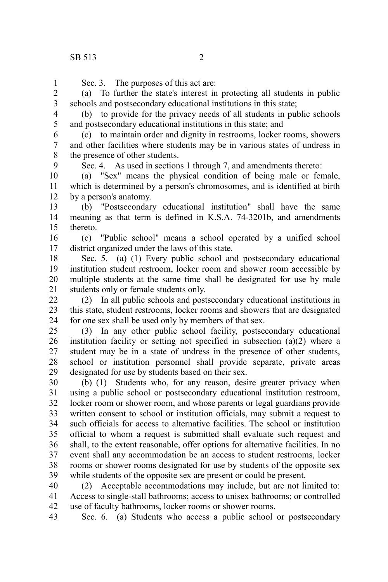9

Sec. 3. The purposes of this act are: 1

(a) To further the state's interest in protecting all students in public schools and postsecondary educational institutions in this state; 2 3

(b) to provide for the privacy needs of all students in public schools and postsecondary educational institutions in this state; and 4 5

(c) to maintain order and dignity in restrooms, locker rooms, showers and other facilities where students may be in various states of undress in the presence of other students. 6 7 8

Sec. 4. As used in sections 1 through 7, and amendments thereto:

(a) "Sex" means the physical condition of being male or female, which is determined by a person's chromosomes, and is identified at birth by a person's anatomy. 10 11 12

(b) "Postsecondary educational institution" shall have the same meaning as that term is defined in K.S.A. 74-3201b, and amendments thereto. 13 14 15

(c) "Public school" means a school operated by a unified school district organized under the laws of this state. 16 17

Sec. 5. (a) (1) Every public school and postsecondary educational institution student restroom, locker room and shower room accessible by multiple students at the same time shall be designated for use by male students only or female students only. 18 19 20 21

(2) In all public schools and postsecondary educational institutions in this state, student restrooms, locker rooms and showers that are designated for one sex shall be used only by members of that sex.  $22$ 23 24

(3) In any other public school facility, postsecondary educational institution facility or setting not specified in subsection (a)(2) where a student may be in a state of undress in the presence of other students, school or institution personnel shall provide separate, private areas designated for use by students based on their sex. 25 26 27 28 29

(b) (1) Students who, for any reason, desire greater privacy when using a public school or postsecondary educational institution restroom, locker room or shower room, and whose parents or legal guardians provide written consent to school or institution officials, may submit a request to such officials for access to alternative facilities. The school or institution official to whom a request is submitted shall evaluate such request and shall, to the extent reasonable, offer options for alternative facilities. In no event shall any accommodation be an access to student restrooms, locker rooms or shower rooms designated for use by students of the opposite sex while students of the opposite sex are present or could be present. 30 31 32 33 34 35 36 37 38 39

(2) Acceptable accommodations may include, but are not limited to: Access to single-stall bathrooms; access to unisex bathrooms; or controlled use of faculty bathrooms, locker rooms or shower rooms. 40 41 42

Sec. 6. (a) Students who access a public school or postsecondary 43